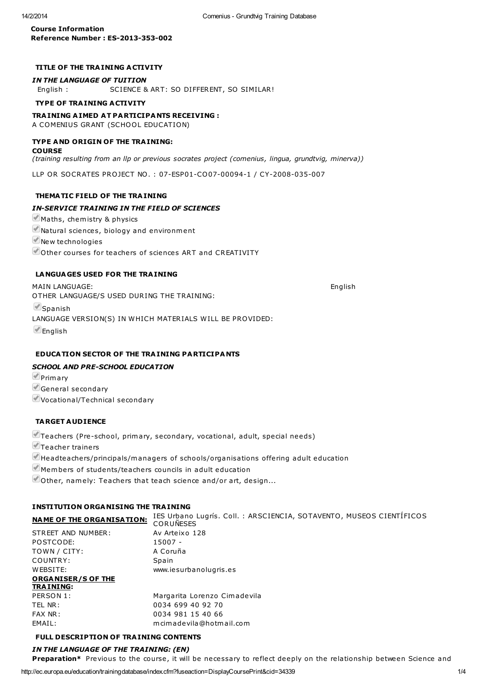### Course Information Reference Number : ES-2013-353-002

## TITLE OF THE TRA INING A CTIVITY

#### IN THE LANGUAGE OF TUITION

English : SCIENCE & ART: SO DIFFERENT, SO SIMILAR!

### TYPE OF TRA INING A CTIVITY

# TRA INING A IMED AT PARTICIPANTS RECEIVING :

A COMENIUS GRANT (SCHOOL EDUCATION)

#### TYPE AND ORIGIN OF THE TRA INING:

#### **COURSE**

(training resulting from an llp or previous socrates project (comenius, lingua, grundtvig, minerva))

LLP OR SOCRATES PROJECT NO . : 07-ESP01-CO07-00094-1 / CY-2008-035-007

#### THEMATIC FIELD OF THE TRA INING

#### IN-SERVICE TRAINING IN THE FIELD OF SCIENCES

- $M$ Maths, chemistry & physics
- Natural sciences, biology and environment

New technologies

 $\blacktriangleright$  Other courses for teachers of sciences ART and CREATIVITY

### LANGUAGES USED FOR THE TRA INING

MAIN LANGUAGE: English OTHER LANGUAGE/S USED DURING THE TRAINING: **Spanish** LANGUAGE VERSION(S) IN WHICH MATERIALS W ILL BE PROVIDED:  $\blacksquare$ English

#### EDUCATION SECTOR OF THE TRA INING PARTICIPANTS

#### SCHOOL AND PRE-SCHOOL EDUCATION

**Primary** General secondary Vocational/Technical secondary

#### TARGET AUDIENCE

Teachers (Pre-school, primary, secondary, vocational, adult, special needs)

Teacher trainers

 $\blacksquare$ Headteachers/principals/managers of schools/organisations offering adult education

 $\blacksquare$  Members of students/teachers councils in adult education

 $\blacktriangleright$  Other, namely: Teachers that teach science and/or art, design...

### INSTITUTION ORGANISING THE TRA INING

| <b>NAME OF THE ORGANISATION:</b> | IES Urbano Lugrís. Coll.: ARSCIENCIA, SOTAVENTO, MUSEOS CIENTÍFICOS<br><b>CORUNESES</b> |
|----------------------------------|-----------------------------------------------------------------------------------------|
| STREET AND NUMBER:               | Av Arteixo 128                                                                          |
| POSTCODE:                        | 15007 -                                                                                 |
| TOWN / CITY:                     | A Coruña                                                                                |
| COUNTRY:                         | Spain                                                                                   |
| WEBSITE:                         | www.iesurbanolugris.es                                                                  |
| <b>ORGANISER/S OF THE</b>        |                                                                                         |
| <b>TRAINING:</b>                 |                                                                                         |
| PERSON 1:                        | Margarita Lorenzo Cimadevila                                                            |
| TEL NR :                         | 0034 699 40 92 70                                                                       |
| FAX NR:                          | 0034 981 15 40 66                                                                       |
| EMAIL:                           | mcimadevila@hotmail.com                                                                 |

#### FULL DESCRIPTION OF TRA INING CONTENTS

### IN THE LANGUAGE OF THE TRAINING: (EN)

Preparation\* Previous to the course, it will be necessary to reflect deeply on the relationship between Science and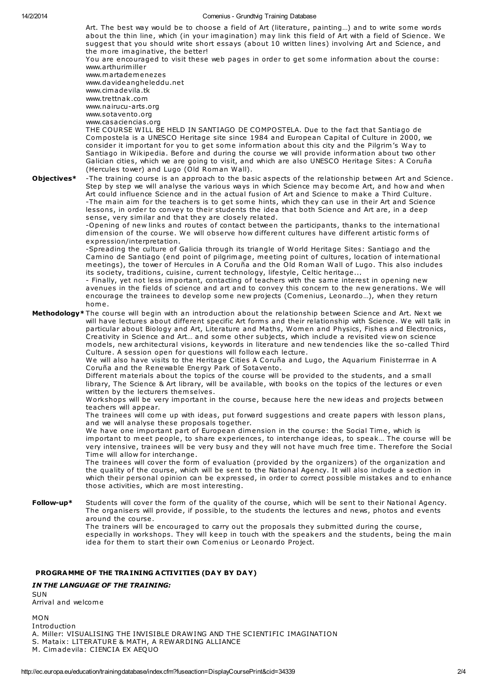14/2/2014 Comenius - Grundtvig Training Database Art. The best way would be to choose a field of Art (literature, painting...) and to write some words about the thin line, which (in your imagination) may link this field of Art with a field of Science. We suggest that you should write short essays (about 10 written lines) involving Art and Science, and the more imaginative, the better! You are encouraged to visit these web pages in order to get some information about the course: www.arthurimiller www.m artadem enezes www.davideangheleddu.net www.cimadevila.tk www.tre ttnak .com www.nairucu-arts.org www.sotavento .org www.casaciencias.org THE COURSE WILL BE HELD IN SANTIAGO DE COMPOSTELA. Due to the fact that Santiago de Compostela is a UNESCO Heritage site since 1984 and European Capital of Culture in 2000, we consider it important for you to get some information about this city and the Pilgrim's Way to Santiago in Wikipedia. Before and during the course we will provide information about two other Galician cities, which we are going to visit, and which are also UNESCO Heritage Sites: A Coruña (Hercules tower) and Lugo (Old Roman Wall). Objectives\* -The training course is an approach to the basic aspects of the relationship between Art and Science. Step by step we will analyse the various ways in which Science may become Art, and how and when Art could influence Science and in the actual fusion of Art and Science to make a Third Culture. -The main aim for the teachers is to get some hints, which they can use in their Art and Science lessons, in order to convey to their students the idea that both Science and Art are, in a deep sense, very similar and that they are closely related. -Opening of new links and routes of contact between the participants, thanks to the international dimension of the course. We will observe how different cultures have different artistic forms of expression/interpre ta tion. -Spreading the culture of Galicia through its triangle of World Heritage Sites: Santiago and the Camino de Santiago (end point of pilgrimage, meeting point of cultures, location of international meetings), the tower of Hercules in A Coruña and the Old Roman Wall of Lugo. This also includes its society, traditions, cuisine, current technology, lifestyle, Celtic heritage... - Finally, yet not less important, contacting of teachers with the same interest in opening new avenues in the fields of science and art and to convey this concern to the new generations. We will encourage the trainees to develop some new projects (Comenius, Leonardo...), when they return hom e . Methodology\* The course will begin with an introduction about the relationship between Science and Art. Next we will have lectures about different specific Art forms and their relationship with Science. We will talk in particular about Biology and Art, Literature and Maths, Women and Physics, Fishes and Electronics, Creativity in Science and Art... and some other subjects, which include a revisited view on science models, new architectural visions, keywords in literature and new tendencies like the so-called Third Culture. A session open for questions will follow each lecture. We will also have visits to the Heritage Cities A Coruña and Lugo, the Aquarium Finisterrrae in A Coruña and the Renewable Energy Park of Sotavento. Different materials about the topics of the course will be provided to the students, and a small library, The Science & Art library, will be available, with books on the topics of the lectures or even written by the lecturers them selves. Workshops will be very important in the course, because here the new ideas and projects between teachers will appear. The trainees will come up with ideas, put forward suggestions and create papers with lesson plans, and we will analyse these proposals together. We have one important part of European dimension in the course: the Social Time, which is important to meet people, to share experiences, to interchange ideas, to speak... The course will be very intensive, trainees will be very busy and they will not have much free time. Therefore the Social Tim e will allow for interchange . The trainees will cover the form of evaluation (provided by the organizers) of the organization and the quality of the course, which will be sent to the National Agency. It will also include a section in which their personal opinion can be expressed, in order to correct possible mistakes and to enhance those activities, which are m ost interesting. Follow-up\* Students will cover the form of the quality of the course, which will be sent to their National Agency. The organisers will provide, if possible, to the students the lectures and news, photos and events around the course . The trainers will be encouraged to carry out the proposals they submitted during the course, especially in workshops. They will keep in touch with the speakers and the students, being the main idea for them to start their own Comenius or Leonardo Project.

#### PROGRAMME OF THE TRAINING ACTIVITIES (DAY BY DAY)

#### IN THE LANGUAGE OF THE TRAINING:

SUN

Arrival and welcom e

MON

Introduction

A. Miller: VISUALISING THE INVISIBLE DRAW ING AND THE SCIENTIFIC IMAGINATION

S. Ma taix: LITERATURE & MATH, A REWARDING ALLIANCE

M. Cim adevila: CIENCIA EX AEQUO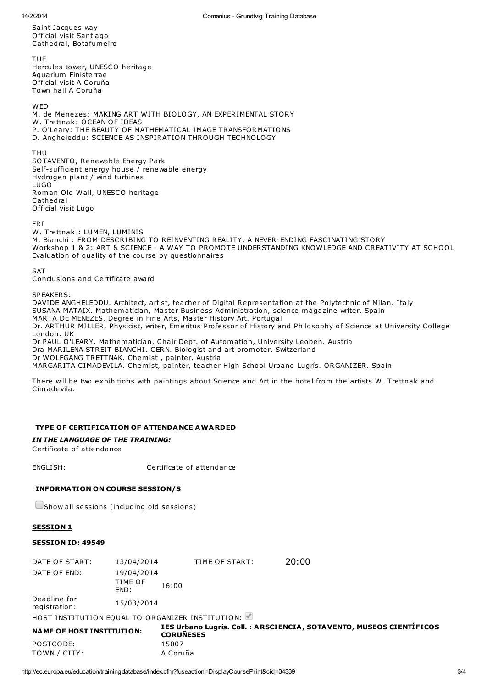Saint Jacques way O fficial visit Santiago Ca thedral, Bota fum eiro

TUE Hercules tower, UNESCO heritage Aquarium Finisterrae O fficial visit A Coruña Town hall A Coruña

**W<sub>FD</sub>** M. de Menezes: MAKING ART W ITH BIO LOGY, AN EXPERIMENTAL STORY W. Trettnak: OCEAN OF IDEAS P. O'Leary: THE BEAUTY OF MATHEMATICAL IMAGE TRANSFORMATIONS D. Angheleddu: SCIENCE AS INSPIRATION THROUGH TECHNOLOGY

THU

SOTAVENTO , Renewable Energy Park Self-sufficient energy house / renewable energy Hydrogen plant / wind turbines LUGO Rom an Old Wall, UNESCO heritage Ca thedral O fficial visit Lugo

FRI

W. Trettnak : LUMEN, LUMINIS M. Bianchi : FROM DESCRIBING TO REINVENTING REALITY, A NEVER-ENDING FASCINATING STORY Workshop 1 & 2: ART & SCIENCE - A WAY TO PROMOTE UNDERSTANDING KNOWLEDGE AND CREATIVITY AT SCHOOL Evaluation of quality of the course by questionnaires

**SAT** 

Conclusions and Certifica te award

SPEAKERS:

DAVIDE ANGHELEDDU. Architect, artist, teacher of Digital Representation at the Polytechnic of Milan. Italy SUSANA MATAIX. Mathematician, Master Business Administration, science magazine writer. Spain MARTA DE MENEZES. Degree in Fine Arts, Master History Art. Portugal Dr. ARTHUR MILLER. Physicist, writer, Emeritus Professor of History and Philosophy of Science at University College London. UK Dr PAUL O'LEARY. Mathematician. Chair Dept. of Automation, University Leoben. Austria Dra MARILENA STREIT BIANCHI. CERN. Biologist and art prom oter. Switzerland Dr WOLFGANG TRETTNAK. Chemist, painter. Austria

MARGARITA CIMADEVILA. Chemist, painter, teacher High School Urbano Lugrís. ORGANIZER . Spain

There will be two exhibitions with paintings about Science and Art in the hotel from the artists W. Trettnak and Cim adevila .

#### TYPE OF CERTIFICATION OF ATTENDANCE AWARDED

IN THE LANGUAGE OF THE TRAINING:

Certificate of attendance

ENGLISH: Certificate of attendance

#### INFORMATION ON COURSE SESSION/S

 $\Box$ Show all sessions (including old sessions)

#### **SESSION 1**

#### SESSION ID: 49549

| <b>NAME OF HOST INSTITUTION.</b>                 |                 |                | IES Urbano Lugrís. Coll. : ARSCIENCIA, SOTAVENT |
|--------------------------------------------------|-----------------|----------------|-------------------------------------------------|
| HOST INSTITUTION EQUAL TO ORGANIZER INSTITUTION: |                 |                |                                                 |
| Deadline for<br>registration:                    | 15/03/2014      |                |                                                 |
|                                                  | TIME OF<br>FND: | 16:00          |                                                 |
| DATE OF END:                                     | 19/04/2014      |                |                                                 |
| DATE OF START:                                   | 13/04/2014      | TIME OF START: | 20:00                                           |

| <b>NAME OF HOST INSTITUTION:</b> | IES Urbano Lugrís, Coll. : A RSCIENCIA, SOTA VENTO, MUSEOS CIENTIFICOS<br><b>CORUÑESES</b> |
|----------------------------------|--------------------------------------------------------------------------------------------|
| POSTCODE:                        | 15007                                                                                      |
| TOWN / CITY:                     | A Coruña                                                                                   |